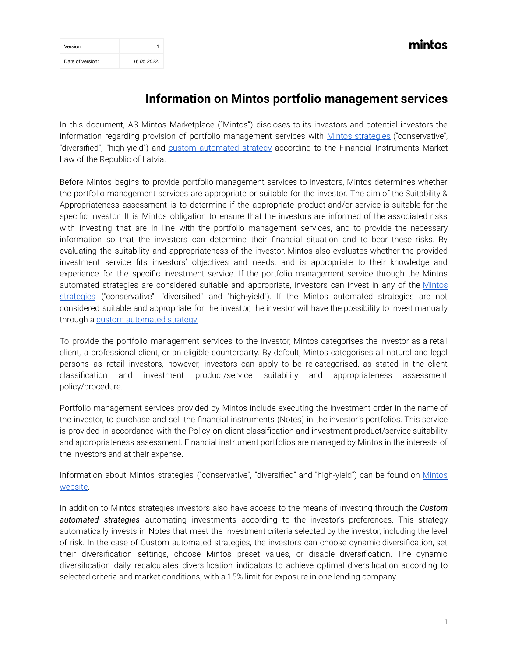| Version          |             |
|------------------|-------------|
| Date of version: | 16.05.2022. |

## **Information on Mintos portfolio management services**

In this document, AS Mintos Marketplace ("Mintos") discloses to its investors and potential investors the information regarding provision of portfolio management services with Mintos [strategies](https://www.mintos.com/en/investing/mintos) ("conservative", ''diversified'', ''high-yield'') and custom [automated](https://www.mintos.com/en/investing/custom/) strategy according to the Financial Instruments Market Law of the Republic of Latvia.

Before Mintos begins to provide portfolio management services to investors, Mintos determines whether the portfolio management services are appropriate or suitable for the investor. The aim of the Suitability & Appropriateness assessment is to determine if the appropriate product and/or service is suitable for the specific investor. It is Mintos obligation to ensure that the investors are informed of the associated risks with investing that are in line with the portfolio management services, and to provide the necessary information so that the investors can determine their financial situation and to bear these risks. By evaluating the suitability and appropriateness of the investor, Mintos also evaluates whether the provided investment service fits investors' objectives and needs, and is appropriate to their knowledge and experience for the specific investment service. If the portfolio management service through the Mintos automated strategies are considered suitable and appropriate, investors can invest in any of the [Mintos](https://www.mintos.com/en/investing/mintos) [strategies](https://www.mintos.com/en/investing/mintos) (''conservative'', ''diversified'' and ''high-yield''). If the Mintos automated strategies are not considered suitable and appropriate for the investor, the investor will have the possibility to invest manually through a custom [automated](https://www.mintos.com/en/investing/custom/) strategy.

To provide the portfolio management services to the investor, Mintos categorises the investor as a retail client, a professional client, or an eligible counterparty. By default, Mintos categorises all natural and legal persons as retail investors, however, investors can apply to be re-categorised, as stated in the client classification and investment product/service suitability and appropriateness assessment policy/procedure.

Portfolio management services provided by Mintos include executing the investment order in the name of the investor, to purchase and sell the financial instruments (Notes) in the investor's portfolios. This service is provided in accordance with the Policy on client classification and investment product/service suitability and appropriateness assessment. Financial instrument portfolios are managed by Mintos in the interests of the investors and at their expense.

Information about [Mintos](https://www.mintos.com/en/investing/mintos) strategies ("conservative", "diversified" and "high-yield") can be found on Mintos [website.](https://www.mintos.com/en/investing/mintos)

In addition to Mintos strategies investors also have access to the means of investing through the *Custom automated strategies* automating investments according to the investor's preferences. This strategy automatically invests in Notes that meet the investment criteria selected by the investor, including the level of risk. In the case of Custom automated strategies, the investors can choose dynamic diversification, set their diversification settings, choose Mintos preset values, or disable diversification. The dynamic diversification daily recalculates diversification indicators to achieve optimal diversification according to selected criteria and market conditions, with a 15% limit for exposure in one lending company.